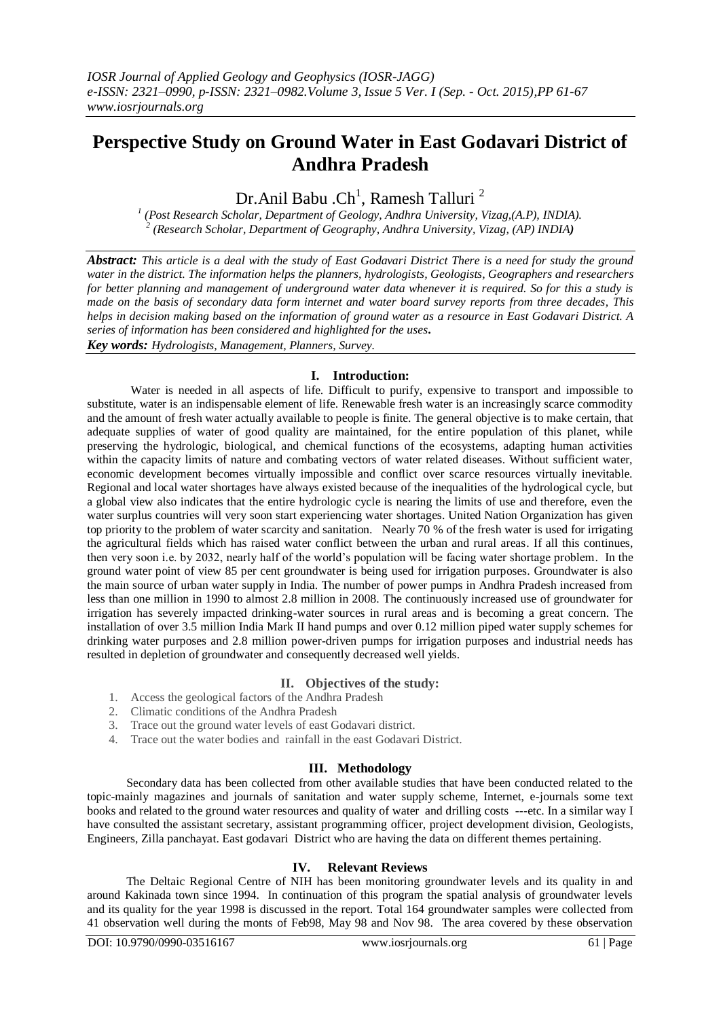# **Perspective Study on Ground Water in East Godavari District of Andhra Pradesh**

Dr.Anil Babu . $\mathrm{Ch}^1$ , Ramesh Talluri  $^2$ 

*1 (Post Research Scholar, Department of Geology, Andhra University, Vizag,(A.P), INDIA). 2 (Research Scholar, Department of Geography, Andhra University, Vizag, (AP) INDIA)*

*Abstract: This article is a deal with the study of East Godavari District There is a need for study the ground water in the district. The information helps the planners, hydrologists, Geologists, Geographers and researchers for better planning and management of underground water data whenever it is required. So for this a study is made on the basis of secondary data form internet and water board survey reports from three decades, This helps in decision making based on the information of ground water as a resource in East Godavari District. A series of information has been considered and highlighted for the uses. Key words: Hydrologists, Management, Planners, Survey.*

# **I. Introduction:**

Water is needed in all aspects of life. Difficult to purify, expensive to transport and impossible to substitute, water is an indispensable element of life. Renewable fresh water is an increasingly scarce commodity and the amount of fresh water actually available to people is finite. The general objective is to make certain, that adequate supplies of water of good quality are maintained, for the entire population of this planet, while preserving the hydrologic, biological, and chemical functions of the ecosystems, adapting human activities within the capacity limits of nature and combating vectors of water related diseases. Without sufficient water, economic development becomes virtually impossible and conflict over scarce resources virtually inevitable. Regional and local water shortages have always existed because of the inequalities of the hydrological cycle, but a global view also indicates that the entire hydrologic cycle is nearing the limits of use and therefore, even the water surplus countries will very soon start experiencing water shortages. United Nation Organization has given top priority to the problem of water scarcity and sanitation. Nearly 70 % of the fresh water is used for irrigating the agricultural fields which has raised water conflict between the urban and rural areas. If all this continues, then very soon i.e. by 2032, nearly half of the world's population will be facing water shortage problem. In the ground water point of view 85 per cent groundwater is being used for irrigation purposes. Groundwater is also the main source of urban water supply in India. The number of power pumps in Andhra Pradesh increased from less than one million in 1990 to almost 2.8 million in 2008. The continuously increased use of groundwater for irrigation has severely impacted drinking-water sources in rural areas and is becoming a great concern. The installation of over 3.5 million India Mark II hand pumps and over 0.12 million piped water supply schemes for drinking water purposes and 2.8 million power-driven pumps for irrigation purposes and industrial needs has resulted in depletion of groundwater and consequently decreased well yields.

# **II. Objectives of the study:**

- 1. Access the geological factors of the Andhra Pradesh
- 2. Climatic conditions of the Andhra Pradesh
- 3. Trace out the ground water levels of east Godavari district.
- 4. Trace out the water bodies and rainfall in the east Godavari District.

# **III. Methodology**

Secondary data has been collected from other available studies that have been conducted related to the topic-mainly magazines and journals of sanitation and water supply scheme, Internet, e-journals some text books and related to the ground water resources and quality of water and drilling costs ---etc. In a similar way I have consulted the assistant secretary, assistant programming officer, project development division, Geologists, Engineers, Zilla panchayat. East godavari District who are having the data on different themes pertaining.

# **IV. Relevant Reviews**

 The Deltaic Regional Centre of NIH has been monitoring groundwater levels and its quality in and around Kakinada town since 1994. In continuation of this program the spatial analysis of groundwater levels and its quality for the year 1998 is discussed in the report. Total 164 groundwater samples were collected from 41 observation well during the monts of Feb98, May 98 and Nov 98. The area covered by these observation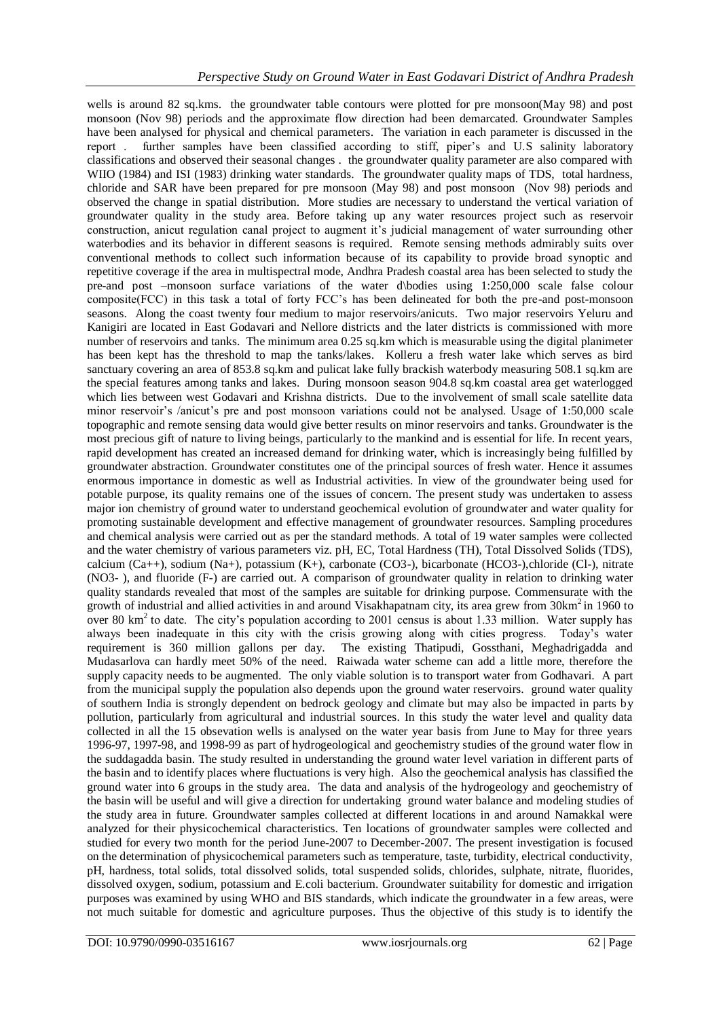wells is around 82 sq.kms. the groundwater table contours were plotted for pre monsoon(May 98) and post monsoon (Nov 98) periods and the approximate flow direction had been demarcated. Groundwater Samples have been analysed for physical and chemical parameters. The variation in each parameter is discussed in the report . further samples have been classified according to stiff, piper's and U.S salinity laboratory classifications and observed their seasonal changes . the groundwater quality parameter are also compared with WIIO (1984) and ISI (1983) drinking water standards. The groundwater quality maps of TDS, total hardness, chloride and SAR have been prepared for pre monsoon (May 98) and post monsoon (Nov 98) periods and observed the change in spatial distribution. More studies are necessary to understand the vertical variation of groundwater quality in the study area. Before taking up any water resources project such as reservoir construction, anicut regulation canal project to augment it's judicial management of water surrounding other waterbodies and its behavior in different seasons is required. Remote sensing methods admirably suits over conventional methods to collect such information because of its capability to provide broad synoptic and repetitive coverage if the area in multispectral mode, Andhra Pradesh coastal area has been selected to study the pre-and post –monsoon surface variations of the water d\bodies using 1:250,000 scale false colour composite(FCC) in this task a total of forty FCC's has been delineated for both the pre-and post-monsoon seasons. Along the coast twenty four medium to major reservoirs/anicuts. Two major reservoirs Yeluru and Kanigiri are located in East Godavari and Nellore districts and the later districts is commissioned with more number of reservoirs and tanks. The minimum area 0.25 sq.km which is measurable using the digital planimeter has been kept has the threshold to map the tanks/lakes. Kolleru a fresh water lake which serves as bird sanctuary covering an area of 853.8 sq.km and pulicat lake fully brackish waterbody measuring 508.1 sq.km are the special features among tanks and lakes. During monsoon season 904.8 sq.km coastal area get waterlogged which lies between west Godavari and Krishna districts. Due to the involvement of small scale satellite data minor reservoir's /anicut's pre and post monsoon variations could not be analysed. Usage of 1:50,000 scale topographic and remote sensing data would give better results on minor reservoirs and tanks. Groundwater is the most precious gift of nature to living beings, particularly to the mankind and is essential for life. In recent years, rapid development has created an increased demand for drinking water, which is increasingly being fulfilled by groundwater abstraction. Groundwater constitutes one of the principal sources of fresh water. Hence it assumes enormous importance in domestic as well as Industrial activities. In view of the groundwater being used for potable purpose, its quality remains one of the issues of concern. The present study was undertaken to assess major ion chemistry of ground water to understand geochemical evolution of groundwater and water quality for promoting sustainable development and effective management of groundwater resources. Sampling procedures and chemical analysis were carried out as per the standard methods. A total of 19 water samples were collected and the water chemistry of various parameters viz. pH, EC, Total Hardness (TH), Total Dissolved Solids (TDS), calcium (Ca++), sodium (Na+), potassium (K+), carbonate (CO3-), bicarbonate (HCO3-),chloride (Cl-), nitrate (NO3- ), and fluoride (F-) are carried out. A comparison of groundwater quality in relation to drinking water quality standards revealed that most of the samples are suitable for drinking purpose. Commensurate with the growth of industrial and allied activities in and around Visakhapatnam city, its area grew from 30km<sup>2</sup> in 1960 to over 80 km<sup>2</sup> to date. The city's population according to 2001 census is about 1.33 million. Water supply has always been inadequate in this city with the crisis growing along with cities progress. Today's water requirement is 360 million gallons per day. The existing Thatipudi, Gossthani, Meghadrigadda and Mudasarlova can hardly meet 50% of the need. Raiwada water scheme can add a little more, therefore the supply capacity needs to be augmented. The only viable solution is to transport water from Godhavari. A part from the municipal supply the population also depends upon the ground water reservoirs. ground water quality of southern India is strongly dependent on bedrock geology and climate but may also be impacted in parts by pollution, particularly from agricultural and industrial sources. In this study the water level and quality data collected in all the 15 obsevation wells is analysed on the water year basis from June to May for three years 1996-97, 1997-98, and 1998-99 as part of hydrogeological and geochemistry studies of the ground water flow in the suddagadda basin. The study resulted in understanding the ground water level variation in different parts of the basin and to identify places where fluctuations is very high. Also the geochemical analysis has classified the ground water into 6 groups in the study area. The data and analysis of the hydrogeology and geochemistry of the basin will be useful and will give a direction for undertaking ground water balance and modeling studies of the study area in future. Groundwater samples collected at different locations in and around Namakkal were analyzed for their physicochemical characteristics. Ten locations of groundwater samples were collected and studied for every two month for the period June-2007 to December-2007. The present investigation is focused on the determination of physicochemical parameters such as temperature, taste, turbidity, electrical conductivity, pH, hardness, total solids, total dissolved solids, total suspended solids, chlorides, sulphate, nitrate, fluorides, dissolved oxygen, sodium, potassium and E.coli bacterium. Groundwater suitability for domestic and irrigation purposes was examined by using WHO and BIS standards, which indicate the groundwater in a few areas, were not much suitable for domestic and agriculture purposes. Thus the objective of this study is to identify the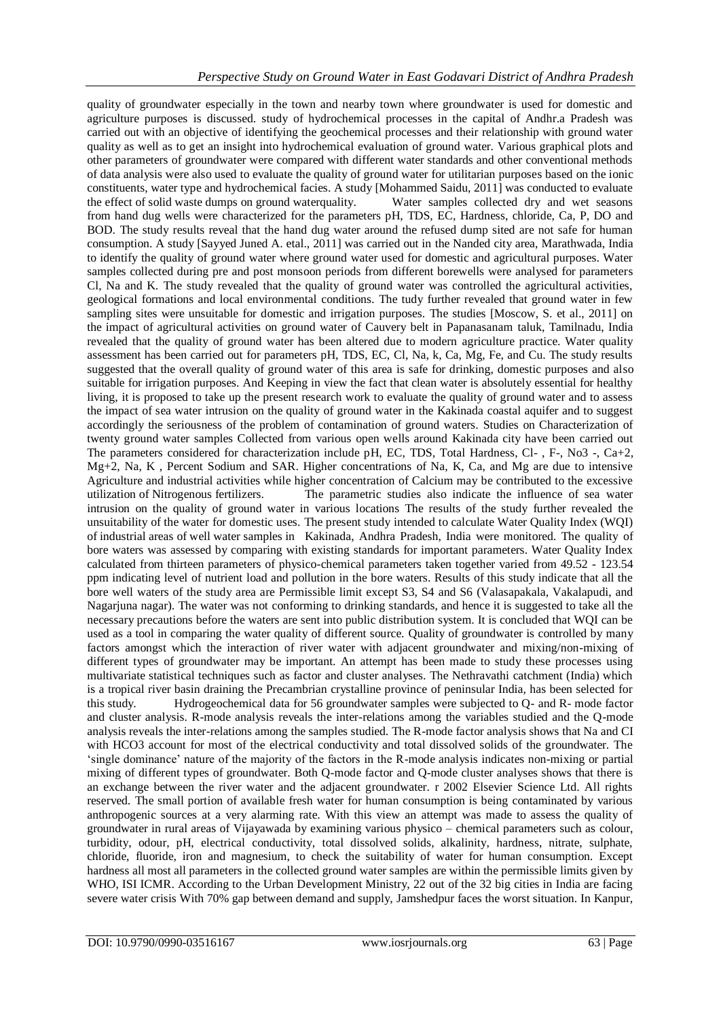quality of groundwater especially in the town and nearby town where groundwater is used for domestic and agriculture purposes is discussed. study of hydrochemical processes in the capital of Andhr.a Pradesh was carried out with an objective of identifying the geochemical processes and their relationship with ground water quality as well as to get an insight into hydrochemical evaluation of ground water. Various graphical plots and other parameters of groundwater were compared with different water standards and other conventional methods of data analysis were also used to evaluate the quality of ground water for utilitarian purposes based on the ionic constituents, water type and hydrochemical facies. A study [Mohammed Saidu, 2011] was conducted to evaluate the effect of solid waste dumps on ground waterquality. Water samples collected dry and wet seasons from hand dug wells were characterized for the parameters pH, TDS, EC, Hardness, chloride, Ca, P, DO and BOD. The study results reveal that the hand dug water around the refused dump sited are not safe for human consumption. A study [Sayyed Juned A. etal., 2011] was carried out in the Nanded city area, Marathwada, India to identify the quality of ground water where ground water used for domestic and agricultural purposes. Water samples collected during pre and post monsoon periods from different borewells were analysed for parameters Cl, Na and K. The study revealed that the quality of ground water was controlled the agricultural activities, geological formations and local environmental conditions. The tudy further revealed that ground water in few sampling sites were unsuitable for domestic and irrigation purposes. The studies [Moscow, S. et al., 2011] on the impact of agricultural activities on ground water of Cauvery belt in Papanasanam taluk, Tamilnadu, India revealed that the quality of ground water has been altered due to modern agriculture practice. Water quality assessment has been carried out for parameters pH, TDS, EC, Cl, Na, k, Ca, Mg, Fe, and Cu. The study results suggested that the overall quality of ground water of this area is safe for drinking, domestic purposes and also suitable for irrigation purposes. And Keeping in view the fact that clean water is absolutely essential for healthy living, it is proposed to take up the present research work to evaluate the quality of ground water and to assess the impact of sea water intrusion on the quality of ground water in the Kakinada coastal aquifer and to suggest accordingly the seriousness of the problem of contamination of ground waters. Studies on Characterization of twenty ground water samples Collected from various open wells around Kakinada city have been carried out The parameters considered for characterization include pH, EC, TDS, Total Hardness, Cl- , F-, No3 -, Ca+2, Mg+2, Na, K , Percent Sodium and SAR. Higher concentrations of Na, K, Ca, and Mg are due to intensive Agriculture and industrial activities while higher concentration of Calcium may be contributed to the excessive utilization of Nitrogenous fertilizers. The parametric studies also indicate the influence of sea water intrusion on the quality of ground water in various locations The results of the study further revealed the unsuitability of the water for domestic uses. The present study intended to calculate Water Quality Index (WQI) of industrial areas of well water samples in Kakinada, Andhra Pradesh, India were monitored. The quality of bore waters was assessed by comparing with existing standards for important parameters. Water Quality Index calculated from thirteen parameters of physico-chemical parameters taken together varied from 49.52 - 123.54 ppm indicating level of nutrient load and pollution in the bore waters. Results of this study indicate that all the bore well waters of the study area are Permissible limit except S3, S4 and S6 (Valasapakala, Vakalapudi, and Nagarjuna nagar). The water was not conforming to drinking standards, and hence it is suggested to take all the necessary precautions before the waters are sent into public distribution system. It is concluded that WQI can be used as a tool in comparing the water quality of different source. Quality of groundwater is controlled by many factors amongst which the interaction of river water with adjacent groundwater and mixing/non-mixing of different types of groundwater may be important. An attempt has been made to study these processes using multivariate statistical techniques such as factor and cluster analyses. The Nethravathi catchment (India) which is a tropical river basin draining the Precambrian crystalline province of peninsular India, has been selected for this study. Hydrogeochemical data for 56 groundwater samples were subjected to Q- and R- mode factor and cluster analysis. R-mode analysis reveals the inter-relations among the variables studied and the Q-mode analysis reveals the inter-relations among the samples studied. The R-mode factor analysis shows that Na and CI with HCO3 account for most of the electrical conductivity and total dissolved solids of the groundwater. The 'single dominance' nature of the majority of the factors in the R-mode analysis indicates non-mixing or partial mixing of different types of groundwater. Both Q-mode factor and Q-mode cluster analyses shows that there is an exchange between the river water and the adjacent groundwater. r 2002 Elsevier Science Ltd. All rights reserved. The small portion of available fresh water for human consumption is being contaminated by various anthropogenic sources at a very alarming rate. With this view an attempt was made to assess the quality of groundwater in rural areas of Vijayawada by examining various physico – chemical parameters such as colour, turbidity, odour, pH, electrical conductivity, total dissolved solids, alkalinity, hardness, nitrate, sulphate, chloride, fluoride, iron and magnesium, to check the suitability of water for human consumption. Except hardness all most all parameters in the collected ground water samples are within the permissible limits given by WHO, ISI ICMR. According to the Urban Development Ministry, 22 out of the 32 big cities in India are facing severe water crisis With 70% gap between demand and supply, Jamshedpur faces the worst situation. In Kanpur,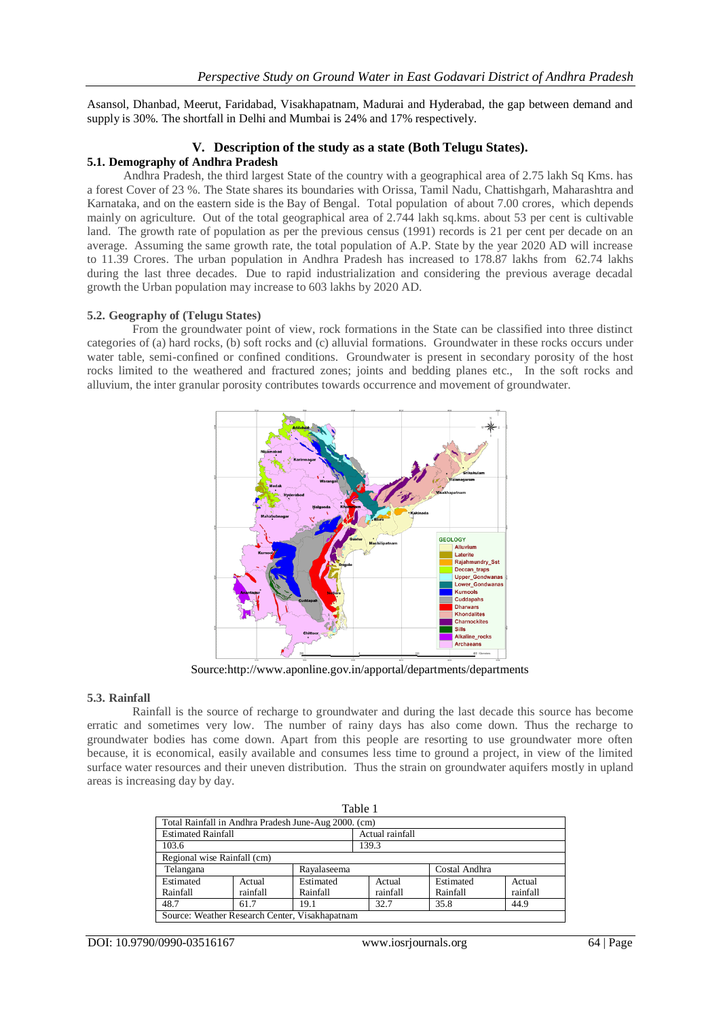Asansol, Dhanbad, Meerut, Faridabad, Visakhapatnam, Madurai and Hyderabad, the gap between demand and supply is 30%. The shortfall in Delhi and Mumbai is 24% and 17% respectively.

## **V. Description of the study as a state (Both Telugu States).**

#### **5.1. Demography of Andhra Pradesh**

 Andhra Pradesh, the third largest State of the country with a geographical area of 2.75 lakh Sq Kms. has a forest Cover of 23 %. The State shares its boundaries with Orissa, Tamil Nadu, Chattishgarh, Maharashtra and Karnataka, and on the eastern side is the Bay of Bengal. Total population of about 7.00 crores, which depends mainly on agriculture. Out of the total geographical area of 2.744 lakh sq.kms. about 53 per cent is cultivable land. The growth rate of population as per the previous census (1991) records is 21 per cent per decade on an average. Assuming the same growth rate, the total population of A.P. State by the year 2020 AD will increase to 11.39 Crores. The urban population in Andhra Pradesh has increased to 178.87 lakhs from 62.74 lakhs during the last three decades. Due to rapid industrialization and considering the previous average decadal growth the Urban population may increase to 603 lakhs by 2020 AD.

#### **5.2. Geography of (Telugu States)**

 From the groundwater point of view, rock formations in the State can be classified into three distinct categories of (a) hard rocks, (b) soft rocks and (c) alluvial formations. Groundwater in these rocks occurs under water table, semi-confined or confined conditions. Groundwater is present in secondary porosity of the host rocks limited to the weathered and fractured zones; joints and bedding planes etc., In the soft rocks and alluvium, the inter granular porosity contributes towards occurrence and movement of groundwater.



Source:http://www.aponline.gov.in/apportal/departments/departments

#### **5.3. Rainfall**

 Rainfall is the source of recharge to groundwater and during the last decade this source has become erratic and sometimes very low. The number of rainy days has also come down. Thus the recharge to groundwater bodies has come down. Apart from this people are resorting to use groundwater more often because, it is economical, easily available and consumes less time to ground a project, in view of the limited surface water resources and their uneven distribution. Thus the strain on groundwater aquifers mostly in upland areas is increasing day by day.

| Table 1                                              |          |                 |               |  |           |          |  |
|------------------------------------------------------|----------|-----------------|---------------|--|-----------|----------|--|
| Total Rainfall in Andhra Pradesh June-Aug 2000. (cm) |          |                 |               |  |           |          |  |
| <b>Estimated Rainfall</b>                            |          | Actual rainfall |               |  |           |          |  |
| 103.6                                                |          |                 | 139.3         |  |           |          |  |
| Regional wise Rainfall (cm)                          |          |                 |               |  |           |          |  |
| Telangana                                            |          | Rayalaseema     | Costal Andhra |  |           |          |  |
| Estimated                                            | Actual   | Estimated       | Actual        |  | Estimated | Actual   |  |
| Rainfall                                             | rainfall | Rainfall        | rainfall      |  | Rainfall  | rainfall |  |
| 48.7<br>19.1<br>61.7                                 |          |                 | 32.7          |  | 35.8      | 44.9     |  |
| Source: Weather Research Center, Visakhapatnam       |          |                 |               |  |           |          |  |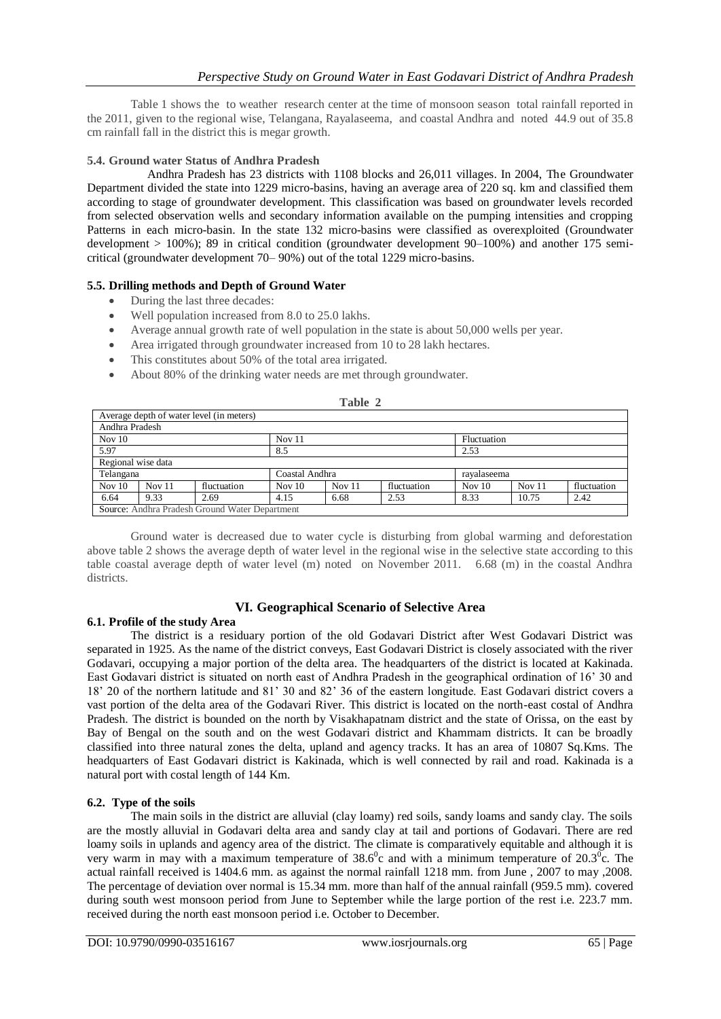Table 1 shows the to weather research center at the time of monsoon season total rainfall reported in the 2011, given to the regional wise, Telangana, Rayalaseema, and coastal Andhra and noted 44.9 out of 35.8 cm rainfall fall in the district this is megar growth.

# **5.4. Ground water Status of Andhra Pradesh**

Andhra Pradesh has 23 districts with 1108 blocks and 26,011 villages. In 2004, The Groundwater Department divided the state into 1229 micro-basins, having an average area of 220 sq. km and classified them according to stage of groundwater development. This classification was based on groundwater levels recorded from selected observation wells and secondary information available on the pumping intensities and cropping Patterns in each micro-basin. In the state 132 micro-basins were classified as overexploited (Groundwater development > 100%); 89 in critical condition (groundwater development 90–100%) and another 175 semicritical (groundwater development 70– 90%) out of the total 1229 micro-basins.

## **5.5. Drilling methods and Depth of Ground Water**

- During the last three decades:
- Well population increased from 8.0 to 25.0 lakhs.
- Average annual growth rate of well population in the state is about 50,000 wells per year.
- Area irrigated through groundwater increased from 10 to 28 lakh hectares.
- This constitutes about 50% of the total area irrigated.
- About 80% of the drinking water needs are met through groundwater.

| Average depth of water level (in meters)       |          |                |          |        |             |          |          |             |
|------------------------------------------------|----------|----------------|----------|--------|-------------|----------|----------|-------------|
| Andhra Pradesh                                 |          |                |          |        |             |          |          |             |
| Nov $11$<br>Nov $10$<br>Fluctuation            |          |                |          |        |             |          |          |             |
| 5.97                                           |          |                | 8.5      |        |             | 2.53     |          |             |
| Regional wise data                             |          |                |          |        |             |          |          |             |
| Telangana                                      |          | Coastal Andhra |          |        | ravalaseema |          |          |             |
| Nov $10$                                       | Nov $11$ | fluctuation    | Nov $10$ | Nov 11 | fluctuation | Nov $10$ | Nov $11$ | fluctuation |
| 6.64                                           | 9.33     | 2.69           | 4.15     | 6.68   | 2.53        | 8.33     | 10.75    | 2.42        |
| Source: Andhra Pradesh Ground Water Department |          |                |          |        |             |          |          |             |

# **Table 2**

Ground water is decreased due to water cycle is disturbing from global warming and deforestation above table 2 shows the average depth of water level in the regional wise in the selective state according to this table coastal average depth of water level (m) noted on November 2011. 6.68 (m) in the coastal Andhra districts.

# **VI. Geographical Scenario of Selective Area**

### **6.1. Profile of the study Area**

The district is a residuary portion of the old Godavari District after West Godavari District was separated in 1925. As the name of the district conveys, East Godavari District is closely associated with the river Godavari, occupying a major portion of the delta area. The headquarters of the district is located at Kakinada. East Godavari district is situated on north east of Andhra Pradesh in the geographical ordination of 16' 30 and 18' 20 of the northern latitude and 81' 30 and 82' 36 of the eastern longitude. East Godavari district covers a vast portion of the delta area of the Godavari River. This district is located on the north-east costal of Andhra Pradesh. The district is bounded on the north by Visakhapatnam district and the state of Orissa, on the east by Bay of Bengal on the south and on the west Godavari district and Khammam districts. It can be broadly classified into three natural zones the delta, upland and agency tracks. It has an area of 10807 Sq.Kms. The headquarters of East Godavari district is Kakinada, which is well connected by rail and road. Kakinada is a natural port with costal length of 144 Km.

# **6.2. Type of the soils**

 The main soils in the district are alluvial (clay loamy) red soils, sandy loams and sandy clay. The soils are the mostly alluvial in Godavari delta area and sandy clay at tail and portions of Godavari. There are red loamy soils in uplands and agency area of the district. The climate is comparatively equitable and although it is very warm in may with a maximum temperature of  $38.6^{\circ}$ c and with a minimum temperature of  $20.3^{\circ}$ c. The actual rainfall received is 1404.6 mm. as against the normal rainfall 1218 mm. from June , 2007 to may ,2008. The percentage of deviation over normal is 15.34 mm. more than half of the annual rainfall (959.5 mm). covered during south west monsoon period from June to September while the large portion of the rest i.e. 223.7 mm. received during the north east monsoon period i.e. October to December.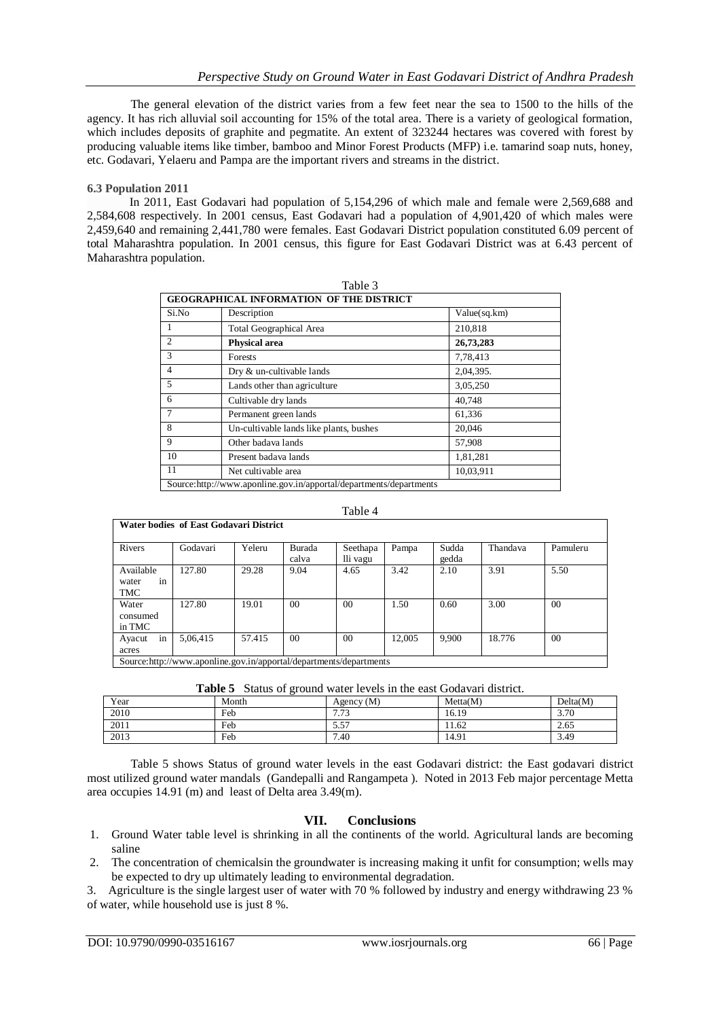The general elevation of the district varies from a few feet near the sea to 1500 to the hills of the agency. It has rich alluvial soil accounting for 15% of the total area. There is a variety of geological formation, which includes deposits of graphite and pegmatite. An extent of 323244 hectares was covered with forest by producing valuable items like timber, bamboo and Minor Forest Products (MFP) i.e. tamarind soap nuts, honey, etc. Godavari, Yelaeru and Pampa are the important rivers and streams in the district.

## **6.3 Population 2011**

 In 2011, East Godavari had population of 5,154,296 of which male and female were 2,569,688 and 2,584,608 respectively. In 2001 census, East Godavari had a population of 4,901,420 of which males were 2,459,640 and remaining 2,441,780 were females. East Godavari District population constituted 6.09 percent of total Maharashtra population. In 2001 census, this figure for East Godavari District was at 6.43 percent of Maharashtra population.

| <b>GEOGRAPHICAL INFORMATION OF THE DISTRICT</b> |                                                                     |              |  |  |  |  |
|-------------------------------------------------|---------------------------------------------------------------------|--------------|--|--|--|--|
| Si.No                                           | Description                                                         | Value(sq.km) |  |  |  |  |
| 1                                               | <b>Total Geographical Area</b>                                      | 210,818      |  |  |  |  |
| $\mathfrak{2}$                                  | <b>Physical area</b>                                                | 26,73,283    |  |  |  |  |
| 3                                               | Forests                                                             | 7,78,413     |  |  |  |  |
| $\overline{4}$                                  | Dry & un-cultivable lands                                           | 2,04,395.    |  |  |  |  |
| 5                                               | Lands other than agriculture                                        | 3,05,250     |  |  |  |  |
| 6                                               | Cultivable dry lands                                                | 40,748       |  |  |  |  |
| 7                                               | Permanent green lands                                               | 61,336       |  |  |  |  |
| 8                                               | Un-cultivable lands like plants, bushes                             | 20,046       |  |  |  |  |
| 9                                               | Other badaya lands                                                  | 57,908       |  |  |  |  |
| 10                                              | Present badava lands                                                | 1,81,281     |  |  |  |  |
| 11                                              | Net cultivable area                                                 | 10,03,911    |  |  |  |  |
|                                                 | Source: http://www.aponline.gov.in/apportal/departments/departments |              |  |  |  |  |

#### Table 3

### Table 4

| Rivers                          | <b>Water bodies of East Godavari District</b><br>Godavari | Yeleru | Burada          | Seethapa | Pampa  | Sudda | Thandava | Pamuleru       |
|---------------------------------|-----------------------------------------------------------|--------|-----------------|----------|--------|-------|----------|----------------|
|                                 |                                                           |        | calva           | lli vagu |        | gedda |          |                |
| Available<br>in<br>water<br>TMC | 127.80                                                    | 29.28  | 9.04            | 4.65     | 3.42   | 2.10  | 3.91     | 5.50           |
| Water<br>consumed<br>in TMC     | 127.80                                                    | 19.01  | 00 <sup>2</sup> | $00\,$   | 1.50   | 0.60  | 3.00     | 0 <sup>0</sup> |
| in<br>Ayacut<br>acres           | 5,06,415                                                  | 57.415 | 00 <sup>1</sup> | $00\,$   | 12.005 | 9.900 | 18.776   | 0 <sup>0</sup> |

Source:http://www.aponline.gov.in/apportal/departments/departments

|  | Table 5 Status of ground water levels in the east Godavari district. |  |  |  |
|--|----------------------------------------------------------------------|--|--|--|
|--|----------------------------------------------------------------------|--|--|--|

| Year | Month | Agency $(M)$ | Metta(M) | Delta(M) |
|------|-------|--------------|----------|----------|
| 2010 | Feb   | 772<br>د ، ، | 16.19    | 3.70     |
| 2011 | Feb   | 5.57         | 1.62     | 2.65     |
| 2013 | Feb   | 7.40         | 14.91    | 3.49     |
|      |       |              |          |          |

Table 5 shows Status of ground water levels in the east Godavari district: the East godavari district most utilized ground water mandals (Gandepalli and Rangampeta ). Noted in 2013 Feb major percentage Metta area occupies 14.91 (m) and least of Delta area 3.49(m).

# **VII. Conclusions**

- 1. Ground Water table level is shrinking in all the continents of the world. Agricultural lands are becoming saline
- 2. The concentration of chemicalsin the groundwater is increasing making it unfit for consumption; wells may be expected to dry up ultimately leading to environmental degradation.

3. Agriculture is the single largest user of water with 70 % followed by industry and energy withdrawing 23 % of water, while household use is just 8 %.